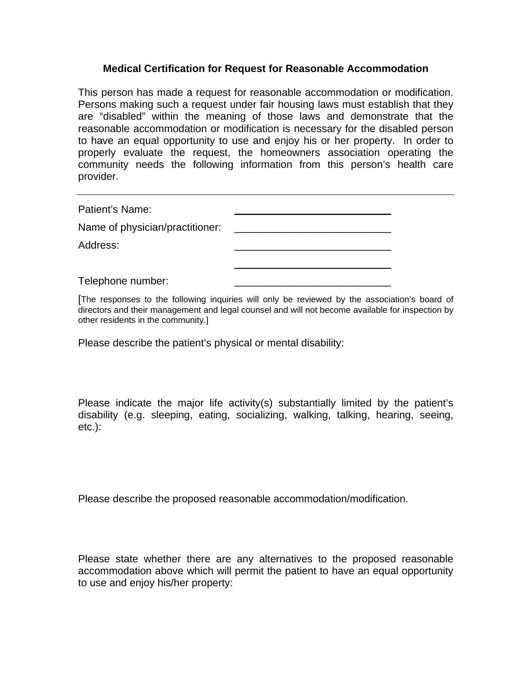## **Medical Certification for Request for Reasonable Accommodation**

This person has made a request for reasonable accommodation or modification. Persons making such a request under fair housing laws must establish that they are "disabled" within the meaning of those laws and demonstrate that the reasonable accommodation or modification is necessary for the disabled person to have an equal opportunity to use and enjoy his or her property. In order to properly evaluate the request, the homeowners association operating the community needs the following information from this person's health care provider.

Patient's Name:

Name of physician/practitioner:

Address: \_\_\_\_\_\_\_\_\_\_\_\_\_\_\_\_\_\_\_\_\_\_\_\_\_\_\_

Telephone number:

[The responses to the following inquiries will only be reviewed by the association's board of directors and their management and legal counsel and will not become available for inspection by other residents in the community.]

 $\overline{\phantom{a}}$  , which is a set of the set of the set of the set of the set of the set of the set of the set of the set of the set of the set of the set of the set of the set of the set of the set of the set of the set of th

Please describe the patient's physical or mental disability:

Please indicate the major life activity(s) substantially limited by the patient's disability (e.g. sleeping, eating, socializing, walking, talking, hearing, seeing, etc.):

Please describe the proposed reasonable accommodation/modification.

Please state whether there are any alternatives to the proposed reasonable accommodation above which will permit the patient to have an equal opportunity to use and enjoy his/her property: